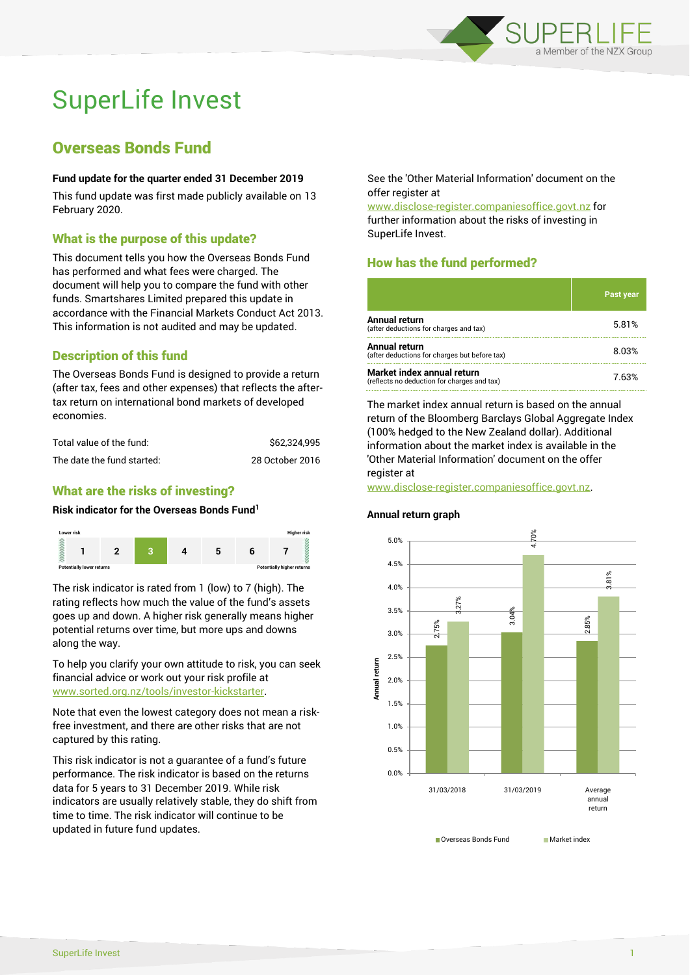

# SuperLife Invest

# Overseas Bonds Fund

#### **Fund update for the quarter ended 31 December 2019**

This fund update was first made publicly available on 13 February 2020.

#### What is the purpose of this update?

This document tells you how the Overseas Bonds Fund has performed and what fees were charged. The document will help you to compare the fund with other funds. Smartshares Limited prepared this update in accordance with the Financial Markets Conduct Act 2013. This information is not audited and may be updated.

# Description of this fund

The Overseas Bonds Fund is designed to provide a return (after tax, fees and other expenses) that reflects the aftertax return on international bond markets of developed economies.

| Total value of the fund:   | \$62.324.995    |
|----------------------------|-----------------|
| The date the fund started: | 28 October 2016 |

### What are the risks of investing?

#### **Risk indicator for the Overseas Bonds Fund<sup>1</sup>**



The risk indicator is rated from 1 (low) to 7 (high). The rating reflects how much the value of the fund's assets goes up and down. A higher risk generally means higher potential returns over time, but more ups and downs along the way.

To help you clarify your own attitude to risk, you can seek financial advice or work out your risk profile at [www.sorted.org.nz/tools/investor-kickstarter.](http://www.sorted.org.nz/tools/investor-kickstarter)

Note that even the lowest category does not mean a riskfree investment, and there are other risks that are not captured by this rating.

This risk indicator is not a guarantee of a fund's future performance. The risk indicator is based on the returns data for 5 years to 31 December 2019. While risk indicators are usually relatively stable, they do shift from time to time. The risk indicator will continue to be updated in future fund updates.

See the 'Other Material Information' document on the offer register at

www.disclose-register.companiesoffice.govt.nz for further information about the risks of investing in SuperLife Invest.

# How has the fund performed?

|                                                                           | <b>Past year</b> |
|---------------------------------------------------------------------------|------------------|
| <b>Annual return</b><br>(after deductions for charges and tax)            | 5.81%            |
| Annual return<br>(after deductions for charges but before tax)            | 8.03%            |
| Market index annual return<br>(reflects no deduction for charges and tax) | 7.63%            |

The market index annual return is based on the annual return of the Bloomberg Barclays Global Aggregate Index (100% hedged to the New Zealand dollar). Additional information about the market index is available in the 'Other Material Information' document on the offer register at

www.disclose-register.companiesoffice.govt.nz.

# **Annual return graph**

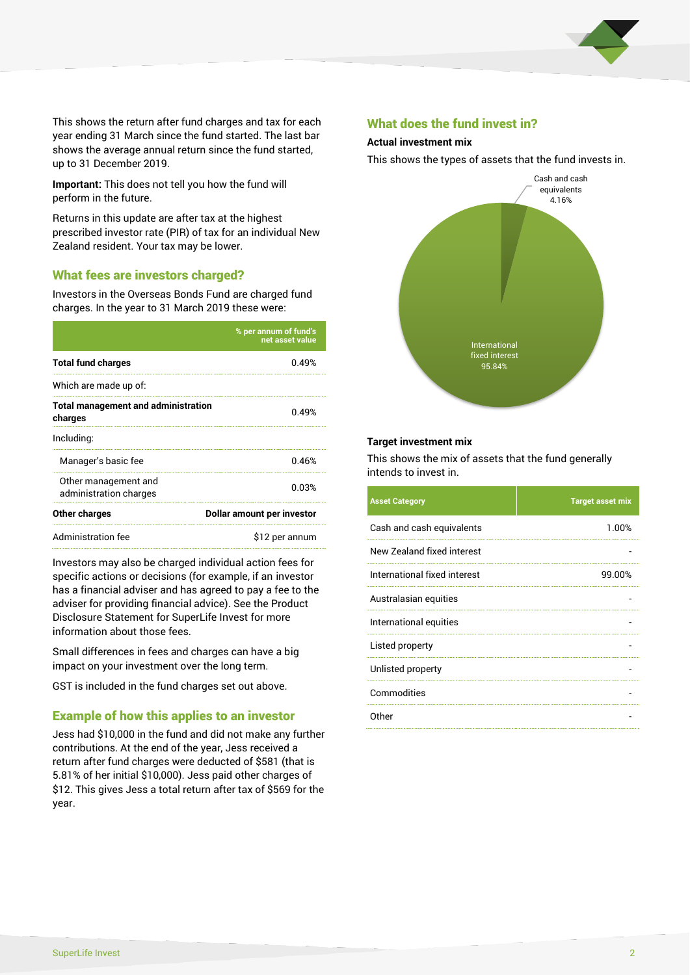

This shows the return after fund charges and tax for each year ending 31 March since the fund started. The last bar shows the average annual return since the fund started, up to 31 December 2019.

**Important:** This does not tell you how the fund will perform in the future.

Returns in this update are after tax at the highest prescribed investor rate (PIR) of tax for an individual New Zealand resident. Your tax may be lower.

#### What fees are investors charged?

Investors in the Overseas Bonds Fund are charged fund charges. In the year to 31 March 2019 these were:

|                                                       | % per annum of fund's<br>net asset value |  |
|-------------------------------------------------------|------------------------------------------|--|
| <b>Total fund charges</b>                             | 0.49%                                    |  |
| Which are made up of:                                 |                                          |  |
| <b>Total management and administration</b><br>charges | 0.49%                                    |  |
| Including:                                            |                                          |  |
| Manager's basic fee                                   | 0.46%                                    |  |
| Other management and<br>administration charges        | 0.03%                                    |  |
| Other charges                                         | Dollar amount per investor               |  |
| Administration fee                                    | \$12 per annum                           |  |

Investors may also be charged individual action fees for specific actions or decisions (for example, if an investor has a financial adviser and has agreed to pay a fee to the adviser for providing financial advice). See the Product Disclosure Statement for SuperLife Invest for more information about those fees.

Small differences in fees and charges can have a big impact on your investment over the long term.

GST is included in the fund charges set out above.

#### Example of how this applies to an investor

Jess had \$10,000 in the fund and did not make any further contributions. At the end of the year, Jess received a return after fund charges were deducted of \$581 (that is 5.81% of her initial \$10,000). Jess paid other charges of \$12. This gives Jess a total return after tax of \$569 for the year.

#### What does the fund invest in?

#### **Actual investment mix**

This shows the types of assets that the fund invests in.



#### **Target investment mix**

This shows the mix of assets that the fund generally intends to invest in.

| <b>Asset Category</b>        | <b>Target asset mix</b> |
|------------------------------|-------------------------|
| Cash and cash equivalents    | 1.00%                   |
| New Zealand fixed interest   |                         |
| International fixed interest | 99.00%                  |
| Australasian equities        |                         |
| International equities       |                         |
| Listed property              |                         |
| Unlisted property            |                         |
| Commodities                  |                         |
| Other                        |                         |